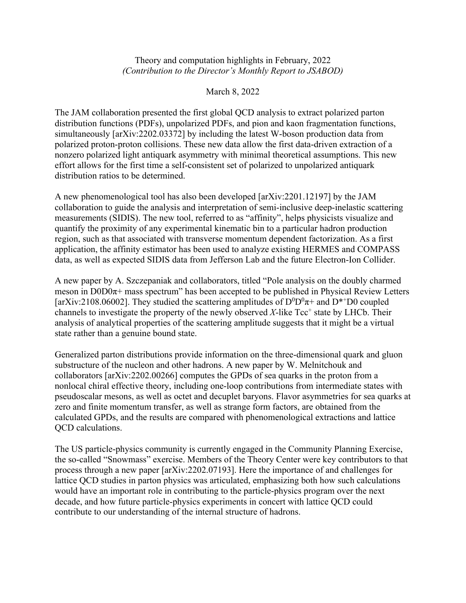## Theory and computation highlights in February, 2022 *(Contribution to the Director's Monthly Report to JSABOD)*

## March 8, 2022

The JAM collaboration presented the first global QCD analysis to extract polarized parton distribution functions (PDFs), unpolarized PDFs, and pion and kaon fragmentation functions, simultaneously [arXiv:2202.03372] by including the latest W-boson production data from polarized proton-proton collisions. These new data allow the first data-driven extraction of a nonzero polarized light antiquark asymmetry with minimal theoretical assumptions. This new effort allows for the first time a self-consistent set of polarized to unpolarized antiquark distribution ratios to be determined.

A new phenomenological tool has also been developed [arXiv:2201.12197] by the JAM collaboration to guide the analysis and interpretation of semi-inclusive deep-inelastic scattering measurements (SIDIS). The new tool, referred to as "affinity", helps physicists visualize and quantify the proximity of any experimental kinematic bin to a particular hadron production region, such as that associated with transverse momentum dependent factorization. As a first application, the affinity estimator has been used to analyze existing HERMES and COMPASS data, as well as expected SIDIS data from Jefferson Lab and the future Electron-Ion Collider.

A new paper by A. Szczepaniak and collaborators, titled "Pole analysis on the doubly charmed meson in  $DOD0\pi$ + mass spectrum" has been accepted to be published in Physical Review Letters [arXiv:2108.06002]. They studied the scattering amplitudes of  $D^0D^0\pi^+$  and  $D^{*+}D^0$  coupled channels to investigate the property of the newly observed  $X$ -like  $Tcc^+$  state by LHCb. Their analysis of analytical properties of the scattering amplitude suggests that it might be a virtual state rather than a genuine bound state.

Generalized parton distributions provide information on the three-dimensional quark and gluon substructure of the nucleon and other hadrons. A new paper by W. Melnitchouk and collaborators [arXiv:2202.00266] computes the GPDs of sea quarks in the proton from a nonlocal chiral effective theory, including one-loop contributions from intermediate states with pseudoscalar mesons, as well as octet and decuplet baryons. Flavor asymmetries for sea quarks at zero and finite momentum transfer, as well as strange form factors, are obtained from the calculated GPDs, and the results are compared with phenomenological extractions and lattice QCD calculations.

The US particle-physics community is currently engaged in the Community Planning Exercise, the so-called "Snowmass" exercise. Members of the Theory Center were key contributors to that process through a new paper [arXiv:2202.07193]. Here the importance of and challenges for lattice QCD studies in parton physics was articulated, emphasizing both how such calculations would have an important role in contributing to the particle-physics program over the next decade, and how future particle-physics experiments in concert with lattice QCD could contribute to our understanding of the internal structure of hadrons.